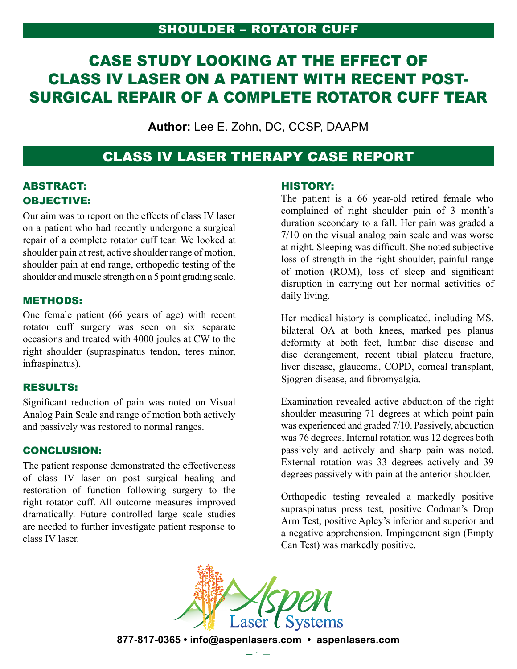## Shoulder – Rotator Cuff

# CASE STUDY LOOKING AT THE EFFECT OF CLASS IV LASER ON A PATIENT WITH RECENT POST-SURGICAL REPAIR OF A COMPLETE ROTATOR CUFF TEAR

**Author:** Lee E. Zohn, DC, CCSP, DAAPM

# CLASS IV LASER THERAPY CASE REPORT

### ABSTRACT: OBJECTIVE:

Our aim was to report on the effects of class IV laser on a patient who had recently undergone a surgical repair of a complete rotator cuff tear. We looked at shoulder pain at rest, active shoulder range of motion, shoulder pain at end range, orthopedic testing of the shoulder and muscle strength on a 5 point grading scale.

#### METHODS:

One female patient (66 years of age) with recent rotator cuff surgery was seen on six separate occasions and treated with 4000 joules at CW to the right shoulder (supraspinatus tendon, teres minor, infraspinatus).

#### RESULTS:

Significant reduction of pain was noted on Visual Analog Pain Scale and range of motion both actively and passively was restored to normal ranges.

#### CONCLUSION:

The patient response demonstrated the effectiveness of class IV laser on post surgical healing and restoration of function following surgery to the right rotator cuff. All outcome measures improved dramatically. Future controlled large scale studies are needed to further investigate patient response to class IV laser.

#### HISTORY:

The patient is a 66 year-old retired female who complained of right shoulder pain of 3 month's duration secondary to a fall. Her pain was graded a 7/10 on the visual analog pain scale and was worse at night. Sleeping was difficult. She noted subjective loss of strength in the right shoulder, painful range of motion (ROM), loss of sleep and significant disruption in carrying out her normal activities of daily living.

Her medical history is complicated, including MS, bilateral OA at both knees, marked pes planus deformity at both feet, lumbar disc disease and disc derangement, recent tibial plateau fracture, liver disease, glaucoma, COPD, corneal transplant, Sjogren disease, and fibromyalgia.

Examination revealed active abduction of the right shoulder measuring 71 degrees at which point pain was experienced and graded 7/10. Passively, abduction was 76 degrees. Internal rotation was 12 degrees both passively and actively and sharp pain was noted. External rotation was 33 degrees actively and 39 degrees passively with pain at the anterior shoulder.

Orthopedic testing revealed a markedly positive supraspinatus press test, positive Codman's Drop Arm Test, positive Apley's inferior and superior and a negative apprehension. Impingement sign (Empty Can Test) was markedly positive.



**877-817-0365 • info@aspenlasers.com • aspenlasers.com**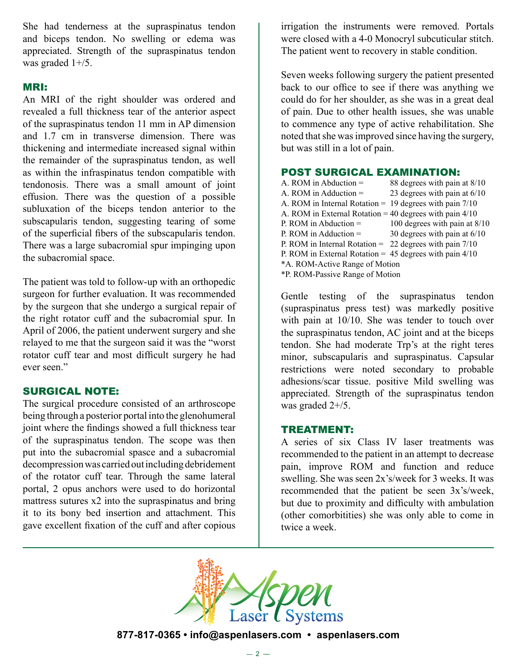She had tenderness at the supraspinatus tendon and biceps tendon. No swelling or edema was appreciated. Strength of the supraspinatus tendon was graded 1+/5.

#### MRI:

An MRI of the right shoulder was ordered and revealed a full thickness tear of the anterior aspect of the supraspinatus tendon 11 mm in AP dimension and 1.7 cm in transverse dimension. There was thickening and intermediate increased signal within the remainder of the supraspinatus tendon, as well as within the infraspinatus tendon compatible with tendonosis. There was a small amount of joint effusion. There was the question of a possible subluxation of the biceps tendon anterior to the subscapularis tendon, suggesting tearing of some of the superficial fibers of the subscapularis tendon. There was a large subacromial spur impinging upon the subacromial space.

The patient was told to follow-up with an orthopedic surgeon for further evaluation. It was recommended by the surgeon that she undergo a surgical repair of the right rotator cuff and the subacromial spur. In April of 2006, the patient underwent surgery and she relayed to me that the surgeon said it was the "worst rotator cuff tear and most difficult surgery he had ever seen."

#### SURGICAL NOTE:

The surgical procedure consisted of an arthroscope being through a posterior portal into the glenohumeral joint where the findings showed a full thickness tear of the supraspinatus tendon. The scope was then put into the subacromial spasce and a subacromial decompression was carried out including debridement of the rotator cuff tear. Through the same lateral portal, 2 opus anchors were used to do horizontal mattress sutures x2 into the supraspinatus and bring it to its bony bed insertion and attachment. This gave excellent fixation of the cuff and after copious

irrigation the instruments were removed. Portals were closed with a 4-0 Monocryl subcuticular stitch. The patient went to recovery in stable condition.

Seven weeks following surgery the patient presented back to our office to see if there was anything we could do for her shoulder, as she was in a great deal of pain. Due to other health issues, she was unable to commence any type of active rehabilitation. She noted that she was improved since having the surgery, but was still in a lot of pain.

#### POST SURGICAL EXAMINATION:

| A. ROM in Abduction $=$                                     | 88 degrees with pain at 8/10   |  |
|-------------------------------------------------------------|--------------------------------|--|
| A. ROM in Adduction $=$                                     | 23 degrees with pain at $6/10$ |  |
| A. ROM in Internal Rotation = $19$ degrees with pain $7/10$ |                                |  |
| A. ROM in External Rotation = 40 degrees with pain $4/10$   |                                |  |
| P. ROM in Abduction $=$                                     | 100 degrees with pain at 8/10  |  |
| P. ROM in Adduction $=$                                     | 30 degrees with pain at $6/10$ |  |
| P. ROM in Internal Rotation = $22$ degrees with pain $7/10$ |                                |  |
| P. ROM in External Rotation = $45$ degrees with pain $4/10$ |                                |  |
| *A. ROM-Active Range of Motion                              |                                |  |
| *P. ROM-Passive Range of Motion                             |                                |  |

Gentle testing of the supraspinatus tendon (supraspinatus press test) was markedly positive with pain at 10/10. She was tender to touch over the supraspinatus tendon, AC joint and at the biceps tendon. She had moderate Trp's at the right teres minor, subscapularis and supraspinatus. Capsular restrictions were noted secondary to probable adhesions/scar tissue. positive Mild swelling was appreciated. Strength of the supraspinatus tendon was graded 2+/5.

#### TREATMENT:

A series of six Class IV laser treatments was recommended to the patient in an attempt to decrease pain, improve ROM and function and reduce swelling. She was seen 2x's/week for 3 weeks. It was recommended that the patient be seen 3x's/week, but due to proximity and difficulty with ambulation (other comorbitities) she was only able to come in twice a week.



**877-817-0365 • info@aspenlasers.com • aspenlasers.com**